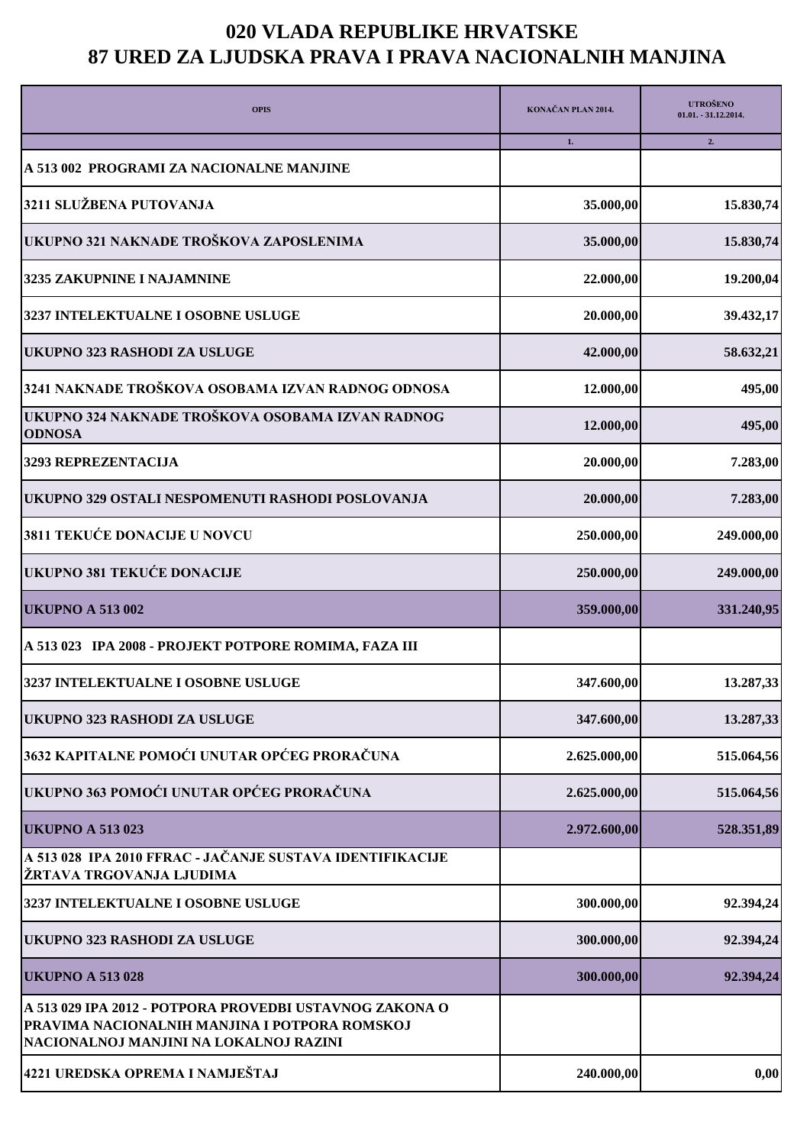## **020 VLADA REPUBLIKE HRVATSKE 87 URED ZA LJUDSKA PRAVA I PRAVA NACIONALNIH MANJINA**

| <b>OPIS</b>                                                                                                                                        | KONAČAN PLAN 2014. | <b>UTROŠENO</b><br>$01.01. -31.12.2014.$ |
|----------------------------------------------------------------------------------------------------------------------------------------------------|--------------------|------------------------------------------|
|                                                                                                                                                    | 1.                 | 2.                                       |
| A 513 002 PROGRAMI ZA NACIONALNE MANJINE                                                                                                           |                    |                                          |
| 3211 SLUŽBENA PUTOVANJA                                                                                                                            | 35.000,00          | 15.830,74                                |
| UKUPNO 321 NAKNADE TROŠKOVA ZAPOSLENIMA                                                                                                            | 35.000,00          | 15.830,74                                |
| 3235 ZAKUPNINE I NAJAMNINE                                                                                                                         | 22.000,00          | 19.200,04                                |
| 3237 INTELEKTUALNE I OSOBNE USLUGE                                                                                                                 | 20.000,00          | 39.432,17                                |
| UKUPNO 323 RASHODI ZA USLUGE                                                                                                                       | 42.000,00          | 58.632,21                                |
| 3241 NAKNADE TROŠKOVA OSOBAMA IZVAN RADNOG ODNOSA                                                                                                  | 12.000,00          | 495,00                                   |
| UKUPNO 324 NAKNADE TROŠKOVA OSOBAMA IZVAN RADNOG<br><b>ODNOSA</b>                                                                                  | 12.000,00          | 495,00                                   |
| 3293 REPREZENTACIJA                                                                                                                                | 20.000,00          | 7.283,00                                 |
| UKUPNO 329 OSTALI NESPOMENUTI RASHODI POSLOVANJA                                                                                                   | 20.000,00          | 7.283,00                                 |
| 3811 TEKUĆE DONACIJE U NOVCU                                                                                                                       | 250.000,00         | 249.000,00                               |
| UKUPNO 381 TEKUĆE DONACIJE                                                                                                                         | 250.000,00         | 249.000,00                               |
| <b>UKUPNO A 513 002</b>                                                                                                                            | 359.000,00         | 331.240,95                               |
| A 513 023 IPA 2008 - PROJEKT POTPORE ROMIMA, FAZA III                                                                                              |                    |                                          |
| 3237 INTELEKTUALNE I OSOBNE USLUGE                                                                                                                 | 347.600,00         | 13.287,33                                |
| <b>UKUPNO 323 RASHODI ZA USLUGE</b>                                                                                                                | 347.600,00         | 13.287,33                                |
| 3632 KAPITALNE POMOĆI UNUTAR OPĆEG PRORAČUNA                                                                                                       | 2.625.000,00       | 515.064,56                               |
| UKUPNO 363 POMOĆI UNUTAR OPĆEG PRORAČUNA                                                                                                           | 2.625.000,00       | 515.064,56                               |
| <b>UKUPNO A 513 023</b>                                                                                                                            | 2.972.600,00       | 528.351,89                               |
| A 513 028 IPA 2010 FFRAC - JAČANJE SUSTAVA IDENTIFIKACIJE<br>ŽRTAVA TRGOVANJA LJUDIMA                                                              |                    |                                          |
| 3237 INTELEKTUALNE I OSOBNE USLUGE                                                                                                                 | 300.000,00         | 92.394,24                                |
| UKUPNO 323 RASHODI ZA USLUGE                                                                                                                       | 300.000,00         | 92.394,24                                |
| <b>UKUPNO A 513 028</b>                                                                                                                            | 300.000,00         | 92.394,24                                |
| A 513 029 IPA 2012 - POTPORA PROVEDBI USTAVNOG ZAKONA O<br>PRAVIMA NACIONALNIH MANJINA I POTPORA ROMSKOJ<br>NACIONALNOJ MANJINI NA LOKALNOJ RAZINI |                    |                                          |
| 4221 UREDSKA OPREMA I NAMJEŠTAJ                                                                                                                    | 240.000,00         | 0,00                                     |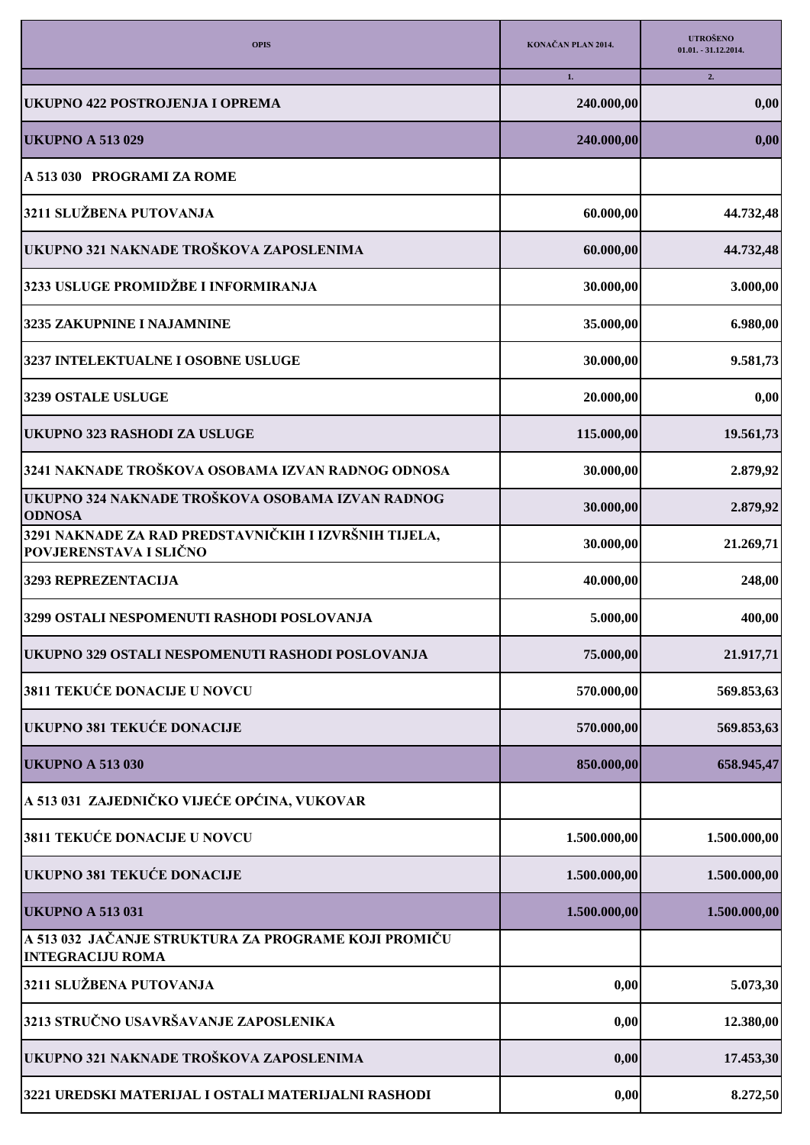| <b>OPIS</b>                                                                            | KONAČAN PLAN 2014. | <b>UTROŠENO</b><br>$01.01. -31.12.2014.$ |
|----------------------------------------------------------------------------------------|--------------------|------------------------------------------|
|                                                                                        | 1.                 | 2.                                       |
| UKUPNO 422 POSTROJENJA I OPREMA                                                        | 240.000,00         | 0,00                                     |
| <b>UKUPNO A 513 029</b>                                                                | 240.000,00         | 0,00                                     |
| A 513 030 PROGRAMI ZA ROME                                                             |                    |                                          |
| 3211 SLUŽBENA PUTOVANJA                                                                | 60.000,00          | 44.732,48                                |
| UKUPNO 321 NAKNADE TROŠKOVA ZAPOSLENIMA                                                | 60.000,00          | 44.732,48                                |
| 3233 USLUGE PROMIDŽBE I INFORMIRANJA                                                   | 30.000,00          | 3.000,00                                 |
| 3235 ZAKUPNINE I NAJAMNINE                                                             | 35.000,00          | 6.980,00                                 |
| 3237 INTELEKTUALNE I OSOBNE USLUGE                                                     | 30.000,00          | 9.581,73                                 |
| 3239 OSTALE USLUGE                                                                     | 20.000,00          | 0,00                                     |
| UKUPNO 323 RASHODI ZA USLUGE                                                           | 115.000,00         | 19.561,73                                |
| 3241 NAKNADE TROŠKOVA OSOBAMA IZVAN RADNOG ODNOSA                                      | 30.000,00          | 2.879,92                                 |
| UKUPNO 324 NAKNADE TROŠKOVA OSOBAMA IZVAN RADNOG<br><b>ODNOSA</b>                      | 30.000,00          | 2.879,92                                 |
| 3291 NAKNADE ZA RAD PREDSTAVNIČKIH I IZVRŠNIH TIJELA,<br><b>POVJERENSTAVA I SLIČNO</b> | 30.000,00          | 21.269,71                                |
| 3293 REPREZENTACIJA                                                                    | 40.000,00          | 248,00                                   |
| 3299 OSTALI NESPOMENUTI RASHODI POSLOVANJA                                             | 5.000,00           | 400,00                                   |
| UKUPNO 329 OSTALI NESPOMENUTI RASHODI POSLOVANJA                                       | 75.000,00          | 21.917,71                                |
| 3811 TEKUĆE DONACIJE U NOVCU                                                           | 570.000,00         | 569.853,63                               |
| UKUPNO 381 TEKUĆE DONACIJE                                                             | 570.000,00         | 569.853,63                               |
| <b>UKUPNO A 513 030</b>                                                                | 850.000,00         | 658.945,47                               |
| A 513 031 ZAJEDNIČKO VIJEĆE OPĆINA, VUKOVAR                                            |                    |                                          |
| 3811 TEKUĆE DONACIJE U NOVCU                                                           | 1.500.000,00       | 1.500.000,00                             |
| <b>UKUPNO 381 TEKUĆE DONACIJE</b>                                                      | 1.500.000,00       | 1.500.000,00                             |
| <b>UKUPNO A 513 031</b>                                                                | 1.500.000,00       | 1.500.000,00                             |
| A 513 032 JAČANJE STRUKTURA ZA PROGRAME KOJI PROMIČU<br><b>INTEGRACIJU ROMA</b>        |                    |                                          |
| 3211 SLUŽBENA PUTOVANJA                                                                | 0,00               | 5.073,30                                 |
| 3213 STRUČNO USAVRŠAVANJE ZAPOSLENIKA                                                  | 0,00               | 12.380,00                                |
| UKUPNO 321 NAKNADE TROŠKOVA ZAPOSLENIMA                                                | 0,00               | 17.453,30                                |
| 3221 UREDSKI MATERIJAL I OSTALI MATERIJALNI RASHODI                                    | 0,00               | 8.272,50                                 |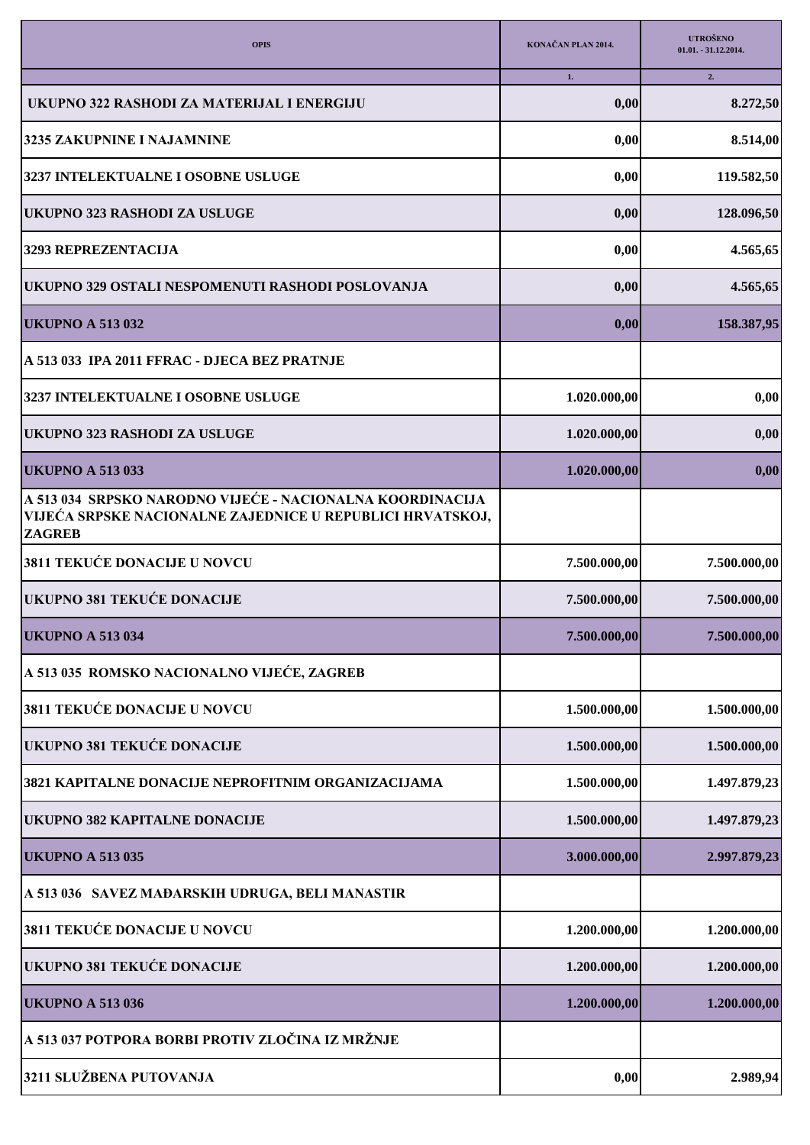| <b>OPIS</b>                                                                                                                             | KONAČAN PLAN 2014. | <b>UTROŠENO</b><br>01.01. - 31.12.2014. |
|-----------------------------------------------------------------------------------------------------------------------------------------|--------------------|-----------------------------------------|
| UKUPNO 322 RASHODI ZA MATERIJAL I ENERGIJU                                                                                              | 1.<br>0,00         | 2.<br>8.272,50                          |
| 3235 ZAKUPNINE I NAJAMNINE                                                                                                              | 0,00               | 8.514,00                                |
| 3237 INTELEKTUALNE I OSOBNE USLUGE                                                                                                      | 0,00               | 119.582,50                              |
| UKUPNO 323 RASHODI ZA USLUGE                                                                                                            | 0,00               | 128.096,50                              |
| 3293 REPREZENTACIJA                                                                                                                     | 0,00               | 4.565,65                                |
| UKUPNO 329 OSTALI NESPOMENUTI RASHODI POSLOVANJA                                                                                        | 0,00               | 4.565,65                                |
| <b>UKUPNO A 513 032</b>                                                                                                                 | 0,00               | 158.387,95                              |
| A 513 033 IPA 2011 FFRAC - DJECA BEZ PRATNJE                                                                                            |                    |                                         |
| 3237 INTELEKTUALNE I OSOBNE USLUGE                                                                                                      | 1.020.000,00       | 0,00                                    |
| <b>UKUPNO 323 RASHODI ZA USLUGE</b>                                                                                                     | 1.020.000,00       | 0,00                                    |
| <b>UKUPNO A 513 033</b>                                                                                                                 | 1.020.000,00       | 0,00                                    |
| A 513 034 SRPSKO NARODNO VIJEĆE - NACIONALNA KOORDINACIJA<br>VIJEĆA SRPSKE NACIONALNE ZAJEDNICE U REPUBLICI HRVATSKOJ,<br><b>ZAGREB</b> |                    |                                         |
| 3811 TEKUĆE DONACIJE U NOVCU                                                                                                            | 7.500.000,00       | 7.500.000,00                            |
| <b>UKUPNO 381 TEKUĆE DONACIJE</b>                                                                                                       | 7.500.000,00       | 7.500.000,00                            |
| <b>UKUPNO A 513 034</b>                                                                                                                 | 7.500.000,00       | 7.500.000,00                            |
| A 513 035 ROMSKO NACIONALNO VIJEĆE, ZAGREB                                                                                              |                    |                                         |
| 3811 TEKUĆE DONACIJE U NOVCU                                                                                                            | 1.500.000,00       | 1.500.000,00                            |
| <b>UKUPNO 381 TEKUĆE DONACIJE</b>                                                                                                       | 1.500.000,00       | 1.500.000,00                            |
| 3821 KAPITALNE DONACIJE NEPROFITNIM ORGANIZACIJAMA                                                                                      | 1.500.000,00       | 1.497.879,23                            |
| <b>UKUPNO 382 KAPITALNE DONACIJE</b>                                                                                                    | 1.500.000,00       | 1.497.879,23                            |
| <b>UKUPNO A 513 035</b>                                                                                                                 | 3.000.000,00       | 2.997.879,23                            |
| A 513 036 SAVEZ MAĐARSKIH UDRUGA, BELI MANASTIR                                                                                         |                    |                                         |
| 3811 TEKUĆE DONACIJE U NOVCU                                                                                                            | 1.200.000,00       | 1.200.000,00                            |
| <b>UKUPNO 381 TEKUĆE DONACIJE</b>                                                                                                       | 1.200.000,00       | 1.200.000,00                            |
| <b>UKUPNO A 513 036</b>                                                                                                                 | 1.200.000,00       | 1.200.000,00                            |
| A 513 037 POTPORA BORBI PROTIV ZLOČINA IZ MRŽNJE                                                                                        |                    |                                         |
| 3211 SLUŽBENA PUTOVANJA                                                                                                                 | 0,00               | 2.989,94                                |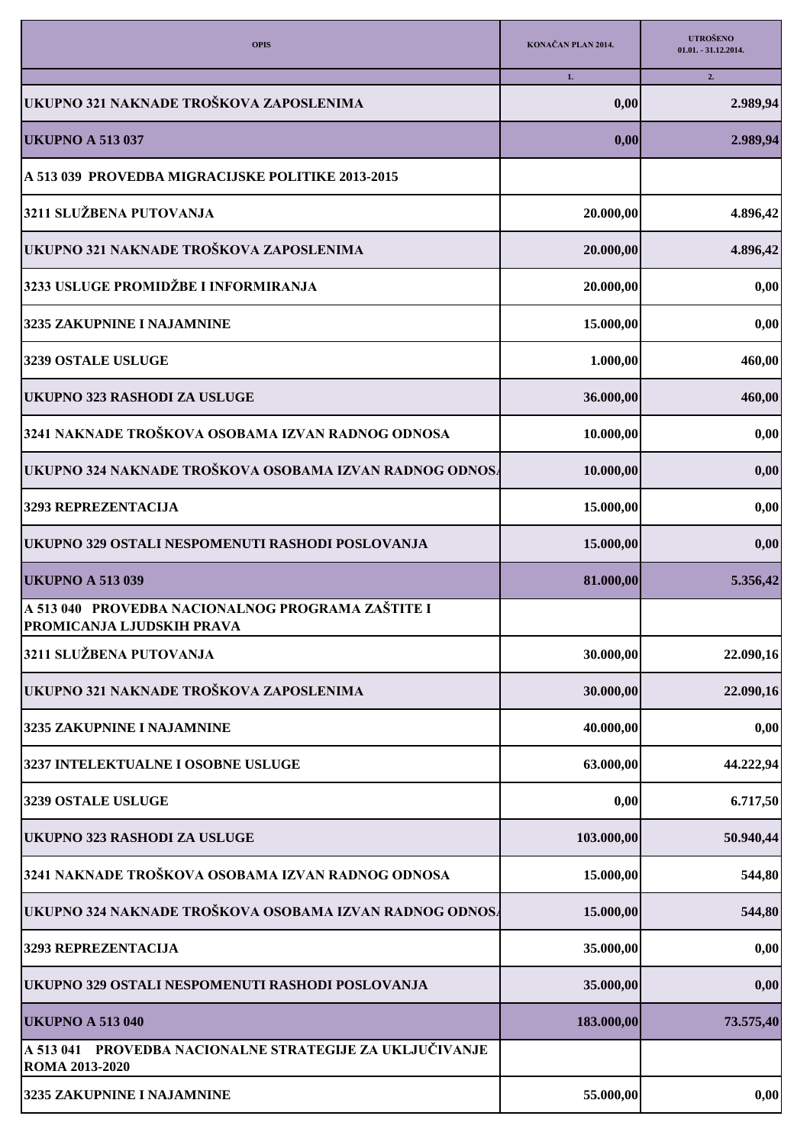| <b>OPIS</b>                                                                           | KONAČAN PLAN 2014. | <b>UTROŠENO</b><br>$01.01. -31.12.2014.$ |
|---------------------------------------------------------------------------------------|--------------------|------------------------------------------|
|                                                                                       | 1.                 | 2.                                       |
| UKUPNO 321 NAKNADE TROŠKOVA ZAPOSLENIMA                                               | 0,00               | 2.989,94                                 |
| <b>UKUPNO A 513 037</b>                                                               | 0,00               | 2.989,94                                 |
| A 513 039 PROVEDBA MIGRACIJSKE POLITIKE 2013-2015                                     |                    |                                          |
| 3211 SLUŽBENA PUTOVANJA                                                               | 20.000,00          | 4.896,42                                 |
| UKUPNO 321 NAKNADE TROŠKOVA ZAPOSLENIMA                                               | 20.000,00          | 4.896,42                                 |
| 3233 USLUGE PROMIDŽBE I INFORMIRANJA                                                  | 20.000,00          | 0,00                                     |
| 3235 ZAKUPNINE I NAJAMNINE                                                            | 15.000,00          | 0,00                                     |
| 3239 OSTALE USLUGE                                                                    | 1.000,00           | 460,00                                   |
| UKUPNO 323 RASHODI ZA USLUGE                                                          | 36.000,00          | 460,00                                   |
| 3241 NAKNADE TROŠKOVA OSOBAMA IZVAN RADNOG ODNOSA                                     | 10.000,00          | 0,00                                     |
| UKUPNO 324 NAKNADE TROŠKOVA OSOBAMA IZVAN RADNOG ODNOSA                               | 10.000,00          | 0,00                                     |
| 3293 REPREZENTACIJA                                                                   | 15.000,00          | 0,00                                     |
| UKUPNO 329 OSTALI NESPOMENUTI RASHODI POSLOVANJA                                      | 15.000,00          | 0,00                                     |
| <b>UKUPNO A 513 039</b>                                                               | 81.000,00          | 5.356,42                                 |
| A 513 040 PROVEDBA NACIONALNOG PROGRAMA ZAŠTITE I<br><b>PROMICANJA LJUDSKIH PRAVA</b> |                    |                                          |
| 3211 SLUŽBENA PUTOVANJA                                                               | 30.000,00          | 22.090,16                                |
| UKUPNO 321 NAKNADE TROŠKOVA ZAPOSLENIMA                                               | 30.000,00          | 22.090,16                                |
| 3235 ZAKUPNINE I NAJAMNINE                                                            | 40.000,00          | 0,00                                     |
| 3237 INTELEKTUALNE I OSOBNE USLUGE                                                    | 63.000,00          | 44.222,94                                |
| 3239 OSTALE USLUGE                                                                    | 0,00               | 6.717,50                                 |
| <b>UKUPNO 323 RASHODI ZA USLUGE</b>                                                   | 103.000,00         | 50.940,44                                |
| 3241 NAKNADE TROŠKOVA OSOBAMA IZVAN RADNOG ODNOSA                                     | 15.000,00          | 544,80                                   |
| UKUPNO 324 NAKNADE TROŠKOVA OSOBAMA IZVAN RADNOG ODNOSA                               | 15.000,00          | 544,80                                   |
| 3293 REPREZENTACIJA                                                                   | 35.000,00          | 0,00                                     |
| UKUPNO 329 OSTALI NESPOMENUTI RASHODI POSLOVANJA                                      | 35.000,00          | 0,00                                     |
| <b>UKUPNO A 513 040</b>                                                               | 183.000,00         | 73.575,40                                |
| A 513 041 PROVEDBA NACIONALNE STRATEGIJE ZA UKLJUČIVANJE<br>ROMA 2013-2020            |                    |                                          |
| 3235 ZAKUPNINE I NAJAMNINE                                                            | 55.000,00          | 0,00                                     |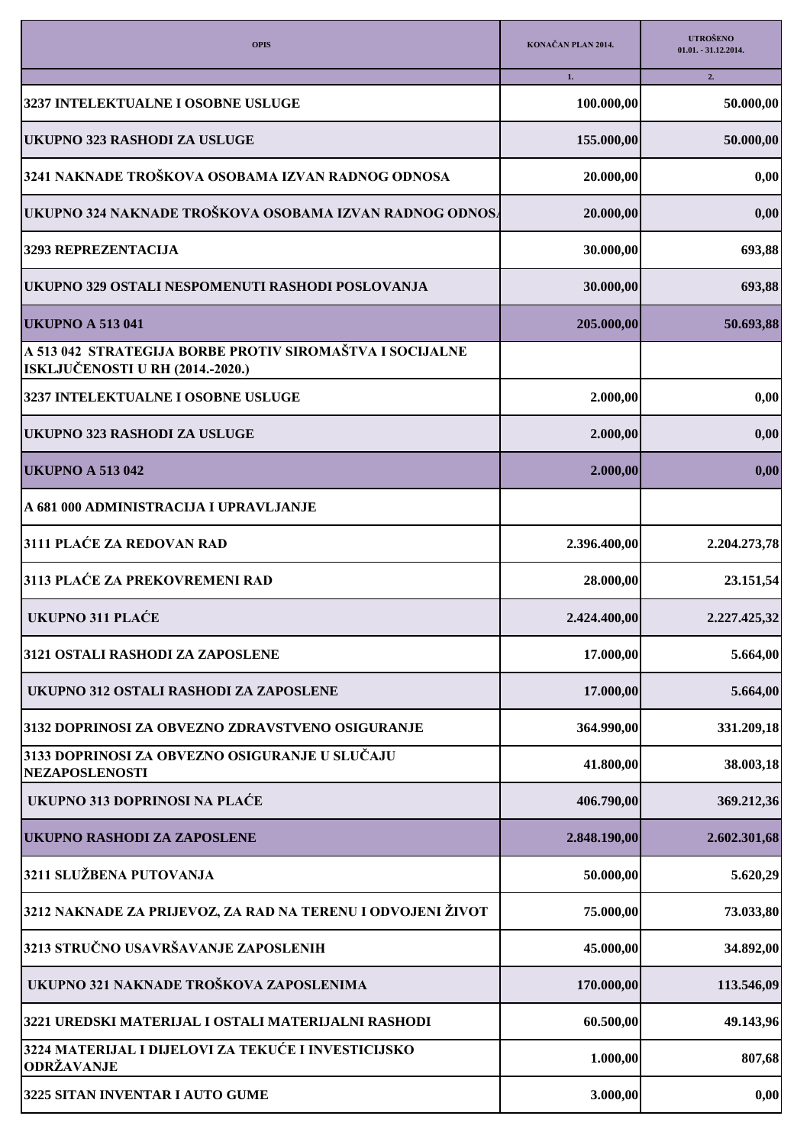| <b>OPIS</b>                                                                                  | KONAČAN PLAN 2014. | <b>UTROŠENO</b><br>01.01. - 31.12.2014. |
|----------------------------------------------------------------------------------------------|--------------------|-----------------------------------------|
|                                                                                              | 1.                 | 2.                                      |
| 3237 INTELEKTUALNE I OSOBNE USLUGE                                                           | 100.000,00         | 50.000,00                               |
| UKUPNO 323 RASHODI ZA USLUGE                                                                 | 155.000,00         | 50.000,00                               |
| 3241 NAKNADE TROŠKOVA OSOBAMA IZVAN RADNOG ODNOSA                                            | 20.000,00          | 0,00                                    |
| UKUPNO 324 NAKNADE TROŠKOVA OSOBAMA IZVAN RADNOG ODNOSA                                      | 20.000,00          | 0,00                                    |
| 3293 REPREZENTACIJA                                                                          | 30.000,00          | 693,88                                  |
| UKUPNO 329 OSTALI NESPOMENUTI RASHODI POSLOVANJA                                             | 30.000,00          | 693,88                                  |
| <b>UKUPNO A 513 041</b>                                                                      | 205.000,00         | 50.693,88                               |
| A 513 042 STRATEGIJA BORBE PROTIV SIROMAŠTVA I SOCIJALNE<br>ISKLJUČENOSTI U RH (2014.-2020.) |                    |                                         |
| 3237 INTELEKTUALNE I OSOBNE USLUGE                                                           | 2.000,00           | 0,00                                    |
| UKUPNO 323 RASHODI ZA USLUGE                                                                 | 2.000,00           | 0,00                                    |
| <b>UKUPNO A 513 042</b>                                                                      | 2.000,00           | 0,00                                    |
| A 681 000 ADMINISTRACIJA I UPRAVLJANJE                                                       |                    |                                         |
| 3111 PLAĆE ZA REDOVAN RAD                                                                    | 2.396.400,00       | 2.204.273,78                            |
| 3113 PLAĆE ZA PREKOVREMENI RAD                                                               | 28.000,00          | 23.151,54                               |
| <b>UKUPNO 311 PLAĆE</b>                                                                      | 2.424.400,00       | 2.227.425,32                            |
| 3121 OSTALI RASHODI ZA ZAPOSLENE                                                             | 17.000,00          | 5.664,00                                |
| UKUPNO 312 OSTALI RASHODI ZA ZAPOSLENE                                                       | 17.000,00          | 5.664,00                                |
| 3132 DOPRINOSI ZA OBVEZNO ZDRAVSTVENO OSIGURANJE                                             | 364.990,00         | 331.209,18                              |
| 3133 DOPRINOSI ZA OBVEZNO OSIGURANJE U SLUČAJU<br><b>NEZAPOSLENOSTI</b>                      | 41.800,00          | 38.003,18                               |
| UKUPNO 313 DOPRINOSI NA PLAĆE                                                                | 406.790,00         | 369.212,36                              |
| <b>UKUPNO RASHODI ZA ZAPOSLENE</b>                                                           | 2.848.190,00       | 2.602.301,68                            |
| 3211 SLUŽBENA PUTOVANJA                                                                      | 50.000,00          | 5.620,29                                |
| 3212 NAKNADE ZA PRIJEVOZ, ZA RAD NA TERENU I ODVOJENI ŽIVOT                                  | 75.000,00          | 73.033,80                               |
| 3213 STRUČNO USAVRŠAVANJE ZAPOSLENIH                                                         | 45.000,00          | 34.892,00                               |
| UKUPNO 321 NAKNADE TROŠKOVA ZAPOSLENIMA                                                      | 170.000,00         | 113.546,09                              |
| 3221 UREDSKI MATERIJAL I OSTALI MATERIJALNI RASHODI                                          | 60.500,00          | 49.143,96                               |
| 3224 MATERIJAL I DIJELOVI ZA TEKUĆE I INVESTICIJSKO<br>ODRŽAVANJE                            | 1.000,00           | 807,68                                  |
| 3225 SITAN INVENTAR I AUTO GUME                                                              | 3.000,00           | 0,00                                    |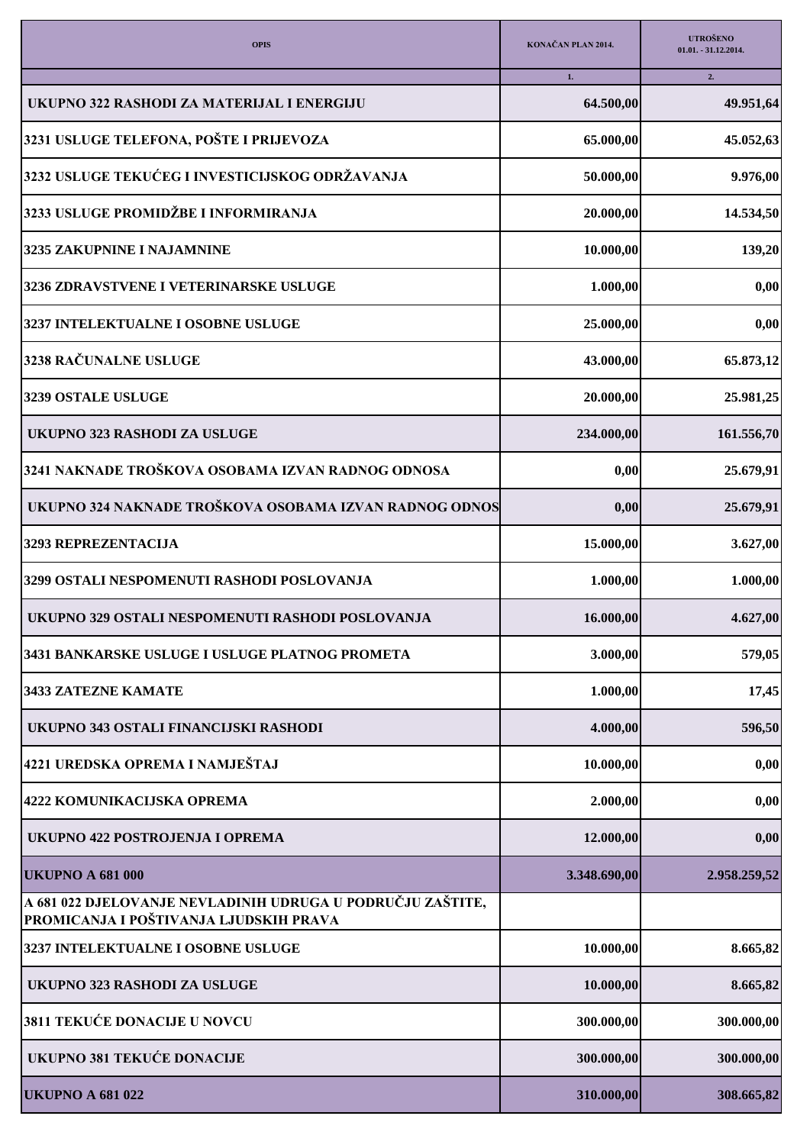| <b>OPIS</b>                                                                                          | KONAČAN PLAN 2014. | <b>UTROŠENO</b><br>$01.01. -31.12.2014.$ |
|------------------------------------------------------------------------------------------------------|--------------------|------------------------------------------|
|                                                                                                      | 1.                 | 2.                                       |
| UKUPNO 322 RASHODI ZA MATERIJAL I ENERGIJU                                                           | 64.500,00          | 49.951,64                                |
| 3231 USLUGE TELEFONA, POŠTE I PRIJEVOZA                                                              | 65.000,00          | 45.052,63                                |
| 3232 USLUGE TEKUĆEG I INVESTICIJSKOG ODRŽAVANJA                                                      | 50.000,00          | 9.976,00                                 |
| 3233 USLUGE PROMIDŽBE I INFORMIRANJA                                                                 | 20.000,00          | 14.534,50                                |
| 3235 ZAKUPNINE I NAJAMNINE                                                                           | 10.000,00          | 139,20                                   |
| 3236 ZDRAVSTVENE I VETERINARSKE USLUGE                                                               | 1.000,00           | 0,00                                     |
| 3237 INTELEKTUALNE I OSOBNE USLUGE                                                                   | 25.000,00          | 0,00                                     |
| 3238 RAČUNALNE USLUGE                                                                                | 43.000,00          | 65.873,12                                |
| 3239 OSTALE USLUGE                                                                                   | 20.000,00          | 25.981,25                                |
| UKUPNO 323 RASHODI ZA USLUGE                                                                         | 234.000,00         | 161.556,70                               |
| 3241 NAKNADE TROŠKOVA OSOBAMA IZVAN RADNOG ODNOSA                                                    | 0,00               | 25.679,91                                |
| UKUPNO 324 NAKNADE TROŠKOVA OSOBAMA IZVAN RADNOG ODNOS                                               | 0,00               | 25.679,91                                |
| 3293 REPREZENTACIJA                                                                                  | 15.000,00          | 3.627,00                                 |
| 3299 OSTALI NESPOMENUTI RASHODI POSLOVANJA                                                           | 1.000,00           | 1.000,00                                 |
| UKUPNO 329 OSTALI NESPOMENUTI RASHODI POSLOVANJA                                                     | 16.000,00          | 4.627,00                                 |
| 3431 BANKARSKE USLUGE I USLUGE PLATNOG PROMETA                                                       | 3.000,00           | 579,05                                   |
| <b>3433 ZATEZNE KAMATE</b>                                                                           | 1.000,00           | 17,45                                    |
| UKUPNO 343 OSTALI FINANCIJSKI RASHODI                                                                | 4.000,00           | 596,50                                   |
| 4221 UREDSKA OPREMA I NAMJEŠTAJ                                                                      | 10.000,00          | 0,00                                     |
| 4222 KOMUNIKACIJSKA OPREMA                                                                           | 2.000,00           | 0,00                                     |
| UKUPNO 422 POSTROJENJA I OPREMA                                                                      | 12.000,00          | 0,00                                     |
| <b>UKUPNO A 681 000</b>                                                                              | 3.348.690,00       | 2.958.259,52                             |
| A 681 022 DJELOVANJE NEVLADINIH UDRUGA U PODRUČJU ZAŠTITE,<br>PROMICANJA I POŠTIVANJA LJUDSKIH PRAVA |                    |                                          |
| 3237 INTELEKTUALNE I OSOBNE USLUGE                                                                   | 10.000,00          | 8.665,82                                 |
| UKUPNO 323 RASHODI ZA USLUGE                                                                         | 10.000,00          | 8.665,82                                 |
| 3811 TEKUĆE DONACIJE U NOVCU                                                                         | 300.000,00         | 300.000,00                               |
| <b>UKUPNO 381 TEKUĆE DONACIJE</b>                                                                    | 300.000,00         | 300.000,00                               |
| <b>UKUPNO A 681 022</b>                                                                              | 310.000,00         | 308.665,82                               |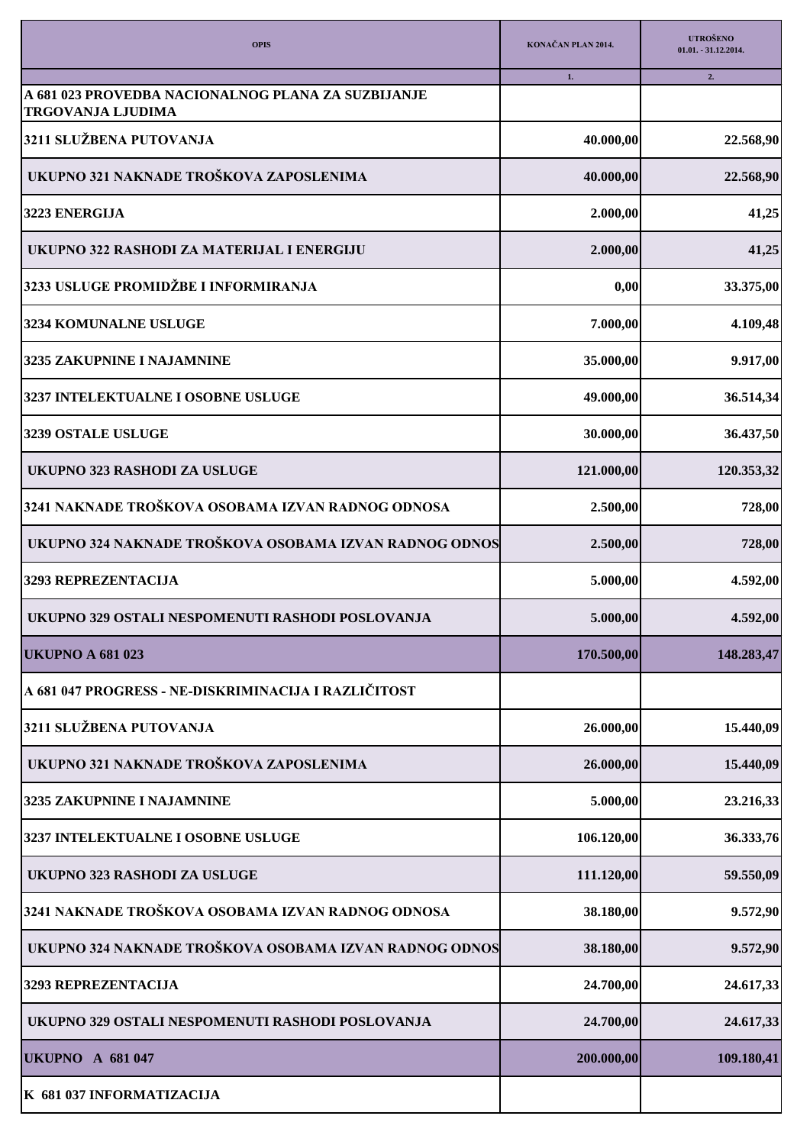| <b>OPIS</b>                                            | KONAČAN PLAN 2014. | <b>UTROŠENO</b><br>$01.01. -31.12.2014.$ |
|--------------------------------------------------------|--------------------|------------------------------------------|
| A 681 023 PROVEDBA NACIONALNOG PLANA ZA SUZBIJANJE     | 1.                 | 2.                                       |
| <b>TRGOVANJA LJUDIMA</b>                               |                    |                                          |
| 3211 SLUŽBENA PUTOVANJA                                | 40.000,00          | 22.568,90                                |
| UKUPNO 321 NAKNADE TROŠKOVA ZAPOSLENIMA                | 40.000,00          | 22.568,90                                |
| 3223 ENERGIJA                                          | 2.000,00           | 41,25                                    |
| UKUPNO 322 RASHODI ZA MATERIJAL I ENERGIJU             | 2.000,00           | 41,25                                    |
| 3233 USLUGE PROMIDŽBE I INFORMIRANJA                   | 0,00               | 33.375,00                                |
| 3234 KOMUNALNE USLUGE                                  | 7.000,00           | 4.109,48                                 |
| 3235 ZAKUPNINE I NAJAMNINE                             | 35.000,00          | 9.917,00                                 |
| 3237 INTELEKTUALNE I OSOBNE USLUGE                     | 49.000,00          | 36.514,34                                |
| 3239 OSTALE USLUGE                                     | 30.000,00          | 36.437,50                                |
| UKUPNO 323 RASHODI ZA USLUGE                           | 121.000,00         | 120.353,32                               |
| 3241 NAKNADE TROŠKOVA OSOBAMA IZVAN RADNOG ODNOSA      | 2.500,00           | 728,00                                   |
| UKUPNO 324 NAKNADE TROŠKOVA OSOBAMA IZVAN RADNOG ODNOS | 2.500,00           | 728,00                                   |
| 3293 REPREZENTACIJA                                    | 5.000,00           | 4.592,00                                 |
| UKUPNO 329 OSTALI NESPOMENUTI RASHODI POSLOVANJA       | 5.000,00           | 4.592,00                                 |
| <b>UKUPNO A 681 023</b>                                | 170.500,00         | 148.283,47                               |
| A 681 047 PROGRESS - NE-DISKRIMINACIJA I RAZLIČITOST   |                    |                                          |
| 3211 SLUŽBENA PUTOVANJA                                | 26.000,00          | 15.440,09                                |
| UKUPNO 321 NAKNADE TROŠKOVA ZAPOSLENIMA                | 26.000,00          | 15.440,09                                |
| 3235 ZAKUPNINE I NAJAMNINE                             | 5.000,00           | 23.216,33                                |
| 3237 INTELEKTUALNE I OSOBNE USLUGE                     | 106.120,00         | 36.333,76                                |
| UKUPNO 323 RASHODI ZA USLUGE                           | 111.120,00         | 59.550,09                                |
| 3241 NAKNADE TROŠKOVA OSOBAMA IZVAN RADNOG ODNOSA      | 38.180,00          | 9.572,90                                 |
| UKUPNO 324 NAKNADE TROŠKOVA OSOBAMA IZVAN RADNOG ODNOS | 38.180,00          | 9.572,90                                 |
| 3293 REPREZENTACIJA                                    | 24.700,00          | 24.617,33                                |
| UKUPNO 329 OSTALI NESPOMENUTI RASHODI POSLOVANJA       | 24.700,00          | 24.617,33                                |
| <b>UKUPNO A 681 047</b>                                | 200.000,00         | 109.180,41                               |
| K 681 037 INFORMATIZACIJA                              |                    |                                          |